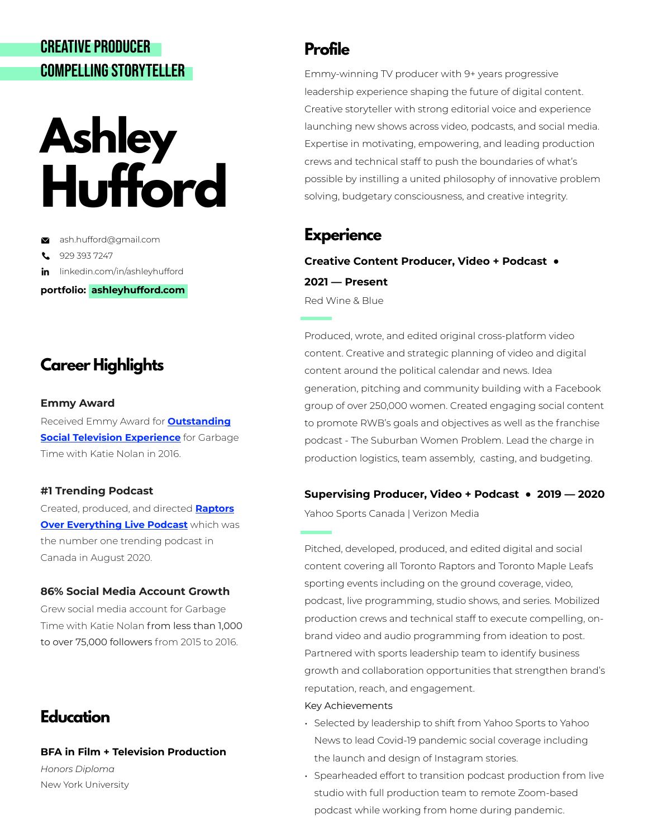# CREATIVE PRODUCER COMPELLING STORYTELLER

# **Ashley Hufford**

[ash.hufford@gmail.com](mailto:ash.hufford@gmail.com) 

929 393 7247 L

in linkedin.com/in/ashleyhufford

**portfolio: ashleyhufford.com** 

# **Career Highlights**

### **Emmy Award**

Received Emmy Award for **[Outstanding](http://emmyonline.com/sports_37th_nominations)  [Social Television Experience](http://emmyonline.com/sports_37th_nominations)** for Garbage Time with Katie Nolan in 2016.

### **#1 Trending Podcast**

Created, produced, and directed **[Raptors](https://www.youtube.com/watch?v=MoJcOVyEkgk&list=PLpIsoSDwGn6pSNPxxkvjEA4faQqaxt1sq&ab_channel=YahooSportsCanada)  [Over Everything Live Podcast](https://www.youtube.com/watch?v=MoJcOVyEkgk&list=PLpIsoSDwGn6pSNPxxkvjEA4faQqaxt1sq&ab_channel=YahooSportsCanada)** which was the number one trending podcast in Canada in August 2020.

## **86% Social Media Account Growth**

Grew social media account for Garbage Time with Katie Nolan from less than 1,000 to over 75,000 followers from 2015 to 2016.

## **Education**

**BFA in Film + Television Production**  *Honors Diploma*  New York University

## **Profile**

Emmy-winning TV producer with 9+ years progressive leadership experience shaping the future of digital content. Creative storyteller with strong editorial voice and experience launching new shows across video, podcasts, and social media. Expertise in motivating, empowering, and leading production crews and technical staff to push the boundaries of what's possible by instilling a united philosophy of innovative problem solving, budgetary consciousness, and creative integrity.

## **Experience**

**Creative Content Producer, Video + Podcast ● 2021 — Present**  Red Wine & Blue

Produced, wrote, and edited original cross-platform video content. Creative and strategic planning of video and digital content around the political calendar and news. Idea generation, pitching and community building with a Facebook group of over 250,000 women. Created engaging social content to promote RWB's goals and objectives as well as the franchise podcast - The Suburban Women Problem. Lead the charge in production logistics, team assembly, casting, and budgeting.

## **Supervising Producer, Video + Podcast ● 2019 — 2020**

Yahoo Sports Canada | Verizon Media

Pitched, developed, produced, and edited digital and social content covering all Toronto Raptors and Toronto Maple Leafs sporting events including on the ground coverage, video, podcast, live programming, studio shows, and series. Mobilized production crews and technical staff to execute compelling, onbrand video and audio programming from ideation to post. Partnered with sports leadership team to identify business growth and collaboration opportunities that strengthen brand's reputation, reach, and engagement.

### Key Achievements

- Selected by leadership to shift from Yahoo Sports to Yahoo News to lead Covid-19 pandemic social coverage including the launch and design of Instagram stories.
- Spearheaded effort to transition podcast production from live studio with full production team to remote Zoom-based podcast while working from home during pandemic.